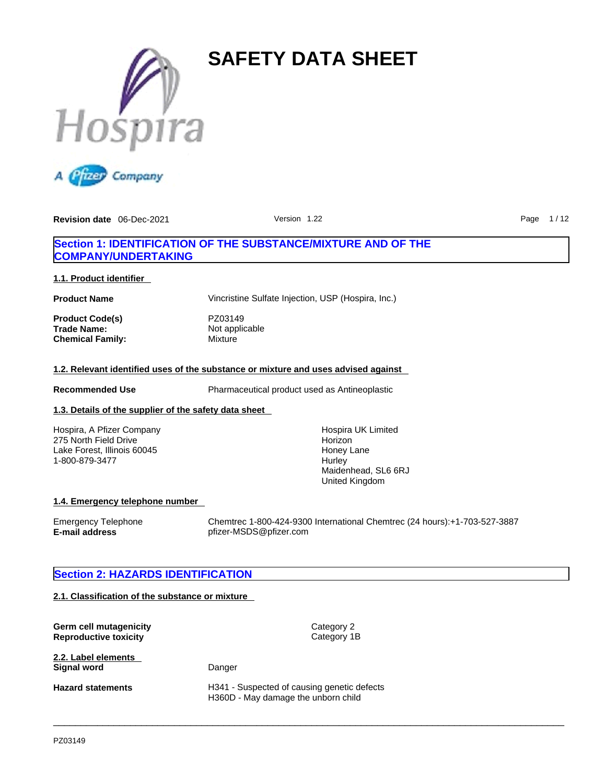



### **Section 1: IDENTIFICATION OF THE SUBSTANCE/MIXTURE AND OF THE COMPANY/UNDERTAKING**

### **1.1. Product identifier**

**Product Name** Vincristine Sulfate Injection, USP (Hospira, Inc.)

**Product Code(s)** PZ03149 **Trade Name:** Not applicable<br> **Chemical Family:** Mixture **Chemical Family:** 

### **1.2. Relevant identified uses of the substance or mixture and uses advised against**

**Recommended Use** Pharmaceutical product used as Antineoplastic

 $\_$  ,  $\_$  ,  $\_$  ,  $\_$  ,  $\_$  ,  $\_$  ,  $\_$  ,  $\_$  ,  $\_$  ,  $\_$  ,  $\_$  ,  $\_$  ,  $\_$  ,  $\_$  ,  $\_$  ,  $\_$  ,  $\_$  ,  $\_$  ,  $\_$  ,  $\_$  ,  $\_$  ,  $\_$  ,  $\_$  ,  $\_$  ,  $\_$  ,  $\_$  ,  $\_$  ,  $\_$  ,  $\_$  ,  $\_$  ,  $\_$  ,  $\_$  ,  $\_$  ,  $\_$  ,  $\_$  ,  $\_$  ,  $\_$  ,

### **1.3. Details of the supplier of the safety data sheet**

Hospira, A Pfizer Company 275 North Field Drive Lake Forest, Illinois 60045 1-800-879-3477

Hospira UK Limited Horizon Honey Lane **Hurley** Maidenhead, SL6 6RJ United Kingdom

### **1.4. Emergency telephone number**

Emergency Telephone Chemtrec 1-800-424-9300 International Chemtrec (24 hours):+1-703-527-3887 **E-mail address** pfizer-MSDS@pfizer.com

### **Section 2: HAZARDS IDENTIFICATION**

### **2.1. Classification of the substance or mixture**

| Germ cell mutagenicity<br><b>Reproductive toxicity</b> | Category 2<br>Category 1B                                                          |
|--------------------------------------------------------|------------------------------------------------------------------------------------|
| 2.2. Label elements<br>Signal word                     | Danger                                                                             |
| <b>Hazard statements</b>                               | H341 - Suspected of causing genetic defects<br>H360D - May damage the unborn child |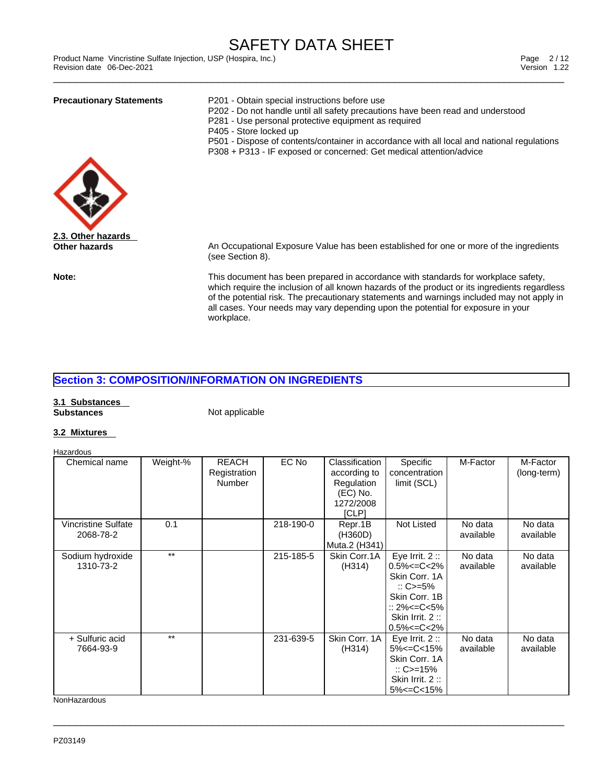Product Name Vincristine Sulfate Injection, USP (Hospira, Inc.)<br>Revision date 06-Dec-2021 Version 1.22 Revision date 06-Dec-2021

| <b>Precautionary Statements</b> | P201 - Obtain special instructions before use<br>P202 - Do not handle until all safety precautions have been read and understood<br>P281 - Use personal protective equipment as required<br>P405 - Store locked up<br>P501 - Dispose of contents/container in accordance with all local and national regulations<br>P308 + P313 - IF exposed or concerned: Get medical attention/advice |
|---------------------------------|-----------------------------------------------------------------------------------------------------------------------------------------------------------------------------------------------------------------------------------------------------------------------------------------------------------------------------------------------------------------------------------------|
|                                 |                                                                                                                                                                                                                                                                                                                                                                                         |
| 2.3. Other hazards              |                                                                                                                                                                                                                                                                                                                                                                                         |
| Other hazards                   | An Occupational Exposure Value has been established for one or more of the ingredients<br>(see Section 8).                                                                                                                                                                                                                                                                              |
| Note:                           | This document has been prepared in accordance with standards for workplace safety,<br>which require the inclusion of all known hazards of the product or its ingredients regardless<br>of the potential risk. The precautionary statements and warnings included may not apply in                                                                                                       |

all cases. Your needs may vary depending upon the potential for exposure in your

### **Section 3: COMPOSITION/INFORMATION ON INGREDIENTS**

### **3.1 Substances Substances Not applicable Not applicable**

workplace.

### **3.2 Mixtures**

| Hazardous                        |          |                                               |           |                                                                                  |                                                                                                                                                                                     |                      |                         |
|----------------------------------|----------|-----------------------------------------------|-----------|----------------------------------------------------------------------------------|-------------------------------------------------------------------------------------------------------------------------------------------------------------------------------------|----------------------|-------------------------|
| Chemical name                    | Weight-% | <b>REACH</b><br>Registration<br><b>Number</b> | EC No     | Classification<br>according to<br>Regulation<br>$(EC)$ No.<br>1272/2008<br>[CLP] | Specific<br>concentration<br>limit (SCL)                                                                                                                                            | M-Factor             | M-Factor<br>(long-term) |
| Vincristine Sulfate<br>2068-78-2 | 0.1      |                                               | 218-190-0 | Repr.1B<br>(H360D)<br>Muta.2 (H341)                                              | Not Listed                                                                                                                                                                          | No data<br>available | No data<br>available    |
| Sodium hydroxide<br>1310-73-2    | $***$    |                                               | 215-185-5 | Skin Corr.1A<br>(H314)                                                           | Eye Irrit. $2::$<br>$0.5\% < = C < 2\%$<br>Skin Corr. 1A<br>$\therefore$ C>=5%<br>Skin Corr. 1B<br>$\therefore$ 2% $\leq$ $\leq$ $\leq$ 5%<br>Skin Irrit. 2:<br>$0.5\% < = C < 2\%$ | No data<br>available | No data<br>available    |
| + Sulfuric acid<br>7664-93-9     | $***$    |                                               | 231-639-5 | Skin Corr, 1A<br>(H314)                                                          | Eye Irrit. $2::$<br>$5\% < = C < 15\%$<br>Skin Corr, 1A<br>$\therefore$ C>=15%<br>Skin Irrit. 2:<br>$5\% < = C < 15\%$                                                              | No data<br>available | No data<br>available    |

 $\_$  ,  $\_$  ,  $\_$  ,  $\_$  ,  $\_$  ,  $\_$  ,  $\_$  ,  $\_$  ,  $\_$  ,  $\_$  ,  $\_$  ,  $\_$  ,  $\_$  ,  $\_$  ,  $\_$  ,  $\_$  ,  $\_$  ,  $\_$  ,  $\_$  ,  $\_$  ,  $\_$  ,  $\_$  ,  $\_$  ,  $\_$  ,  $\_$  ,  $\_$  ,  $\_$  ,  $\_$  ,  $\_$  ,  $\_$  ,  $\_$  ,  $\_$  ,  $\_$  ,  $\_$  ,  $\_$  ,  $\_$  ,  $\_$  ,

**NonHazardous**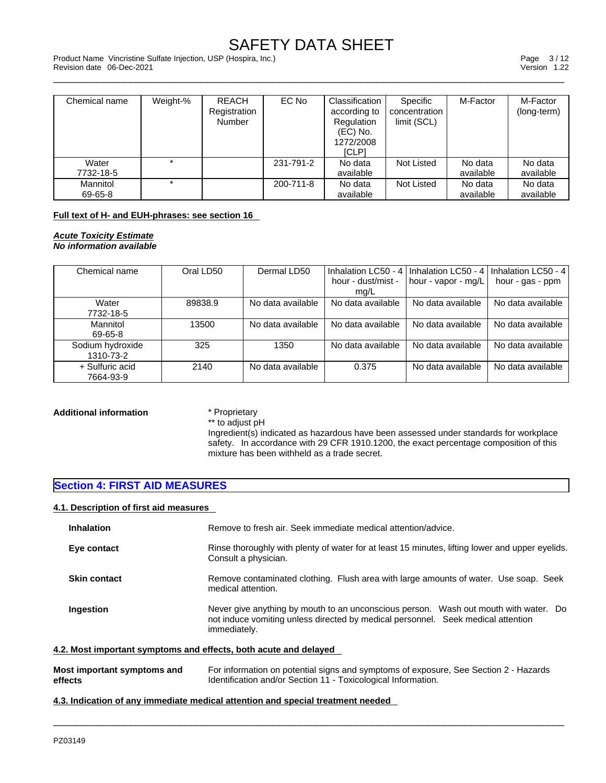\_\_\_\_\_\_\_\_\_\_\_\_\_\_\_\_\_\_\_\_\_\_\_\_\_\_\_\_\_\_\_\_\_\_\_\_\_\_\_\_\_\_\_\_\_\_\_\_\_\_\_\_\_\_\_\_\_\_\_\_\_\_\_\_\_\_\_\_\_\_\_\_\_\_\_\_\_\_\_\_\_\_\_\_\_\_\_\_\_\_\_\_\_ Product Name Vincristine Sulfate Injection, USP (Hospira, Inc.) Page 3 / 12 Revision date 06-Dec-2021 Version 1.22

| Chemical name | Weight-% | <b>REACH</b>  | EC No     | Classification | Specific      | M-Factor  | M-Factor    |
|---------------|----------|---------------|-----------|----------------|---------------|-----------|-------------|
|               |          | Registration  |           | according to   | concentration |           | (long-term) |
|               |          | <b>Number</b> |           | Regulation     | limit (SCL)   |           |             |
|               |          |               |           | $(EC)$ No.     |               |           |             |
|               |          |               |           | 1272/2008      |               |           |             |
|               |          |               |           | [CLP]          |               |           |             |
| Water         |          |               | 231-791-2 | No data        | Not Listed    | No data   | No data     |
| 7732-18-5     |          |               |           | available      |               | available | available   |
| Mannitol      |          |               | 200-711-8 | No data        | Not Listed    | No data   | No data     |
| 69-65-8       |          |               |           | available      |               | available | available   |

### **Full text of H- and EUH-phrases: see section 16**

*Acute Toxicity Estimate No information available* 

| Chemical name                 | Oral LD50 | Dermal LD50       | Inhalation LC50 - 4        | I Inhalation LC50 - 4 I | Inhalation LC50 - 4 |
|-------------------------------|-----------|-------------------|----------------------------|-------------------------|---------------------|
|                               |           |                   | hour - dust/mist -<br>ma/L | hour - vapor - mg/L     | hour - gas - ppm    |
| Water<br>7732-18-5            | 89838.9   | No data available | No data available          | No data available       | No data available   |
| Mannitol<br>69-65-8           | 13500     | No data available | No data available          | No data available       | No data available   |
| Sodium hydroxide<br>1310-73-2 | 325       | 1350              | No data available          | No data available       | No data available   |
| + Sulfuric acid<br>7664-93-9  | 2140      | No data available | 0.375                      | No data available       | No data available   |

## **Additional information** \* Proprietary \* **html** \* **html** \* to adjust pH

Ingredient(s) indicated as hazardous have been assessed under standards for workplace safety. In accordance with 29 CFR 1910.1200, the exact percentage composition of this mixture has been withheld as a trade secret.

### **Section 4: FIRST AID MEASURES**

### **4.1. Description of first aid measures**

| <b>Inhalation</b>   | Remove to fresh air. Seek immediate medical attention/advice.                                                                                                                            |
|---------------------|------------------------------------------------------------------------------------------------------------------------------------------------------------------------------------------|
| Eye contact         | Rinse thoroughly with plenty of water for at least 15 minutes, lifting lower and upper eyelids.<br>Consult a physician.                                                                  |
| <b>Skin contact</b> | Remove contaminated clothing. Flush area with large amounts of water. Use soap. Seek<br>medical attention.                                                                               |
| Ingestion           | Never give anything by mouth to an unconscious person. Wash out mouth with water. Do<br>not induce vomiting unless directed by medical personnel. Seek medical attention<br>immediately. |
|                     | 4.2. Most important symptoms and effects, both acute and delayed                                                                                                                         |

| Most important symptoms and | For information on potential signs and symptoms of exposure, See Section 2 - Hazards |
|-----------------------------|--------------------------------------------------------------------------------------|
| effects                     | Identification and/or Section 11 - Toxicological Information.                        |

 $\_$  ,  $\_$  ,  $\_$  ,  $\_$  ,  $\_$  ,  $\_$  ,  $\_$  ,  $\_$  ,  $\_$  ,  $\_$  ,  $\_$  ,  $\_$  ,  $\_$  ,  $\_$  ,  $\_$  ,  $\_$  ,  $\_$  ,  $\_$  ,  $\_$  ,  $\_$  ,  $\_$  ,  $\_$  ,  $\_$  ,  $\_$  ,  $\_$  ,  $\_$  ,  $\_$  ,  $\_$  ,  $\_$  ,  $\_$  ,  $\_$  ,  $\_$  ,  $\_$  ,  $\_$  ,  $\_$  ,  $\_$  ,  $\_$  ,

**4.3. Indication of any immediate medical attention and special treatment needed**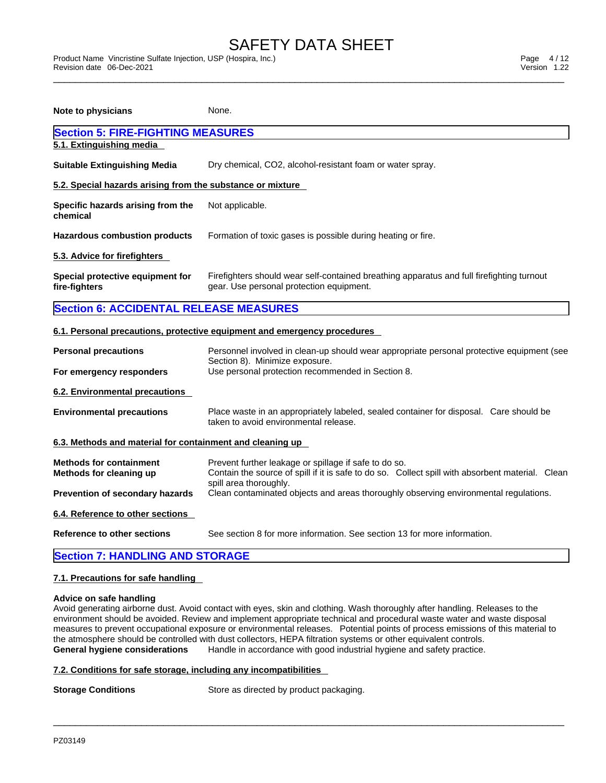\_\_\_\_\_\_\_\_\_\_\_\_\_\_\_\_\_\_\_\_\_\_\_\_\_\_\_\_\_\_\_\_\_\_\_\_\_\_\_\_\_\_\_\_\_\_\_\_\_\_\_\_\_\_\_\_\_\_\_\_\_\_\_\_\_\_\_\_\_\_\_\_\_\_\_\_\_\_\_\_\_\_\_\_\_\_\_\_\_\_\_\_\_ Product Name Vincristine Sulfate Injection, USP (Hospira, Inc.) Page 4 / 12 Revision date 06-Dec-2021 Version 1.22

| <b>Note to physicians</b>                                  | None.                                                                                                                                                                               |
|------------------------------------------------------------|-------------------------------------------------------------------------------------------------------------------------------------------------------------------------------------|
| <b>Section 5: FIRE-FIGHTING MEASURES</b>                   |                                                                                                                                                                                     |
| 5.1. Extinguishing media                                   |                                                                                                                                                                                     |
| <b>Suitable Extinguishing Media</b>                        | Dry chemical, CO2, alcohol-resistant foam or water spray.                                                                                                                           |
| 5.2. Special hazards arising from the substance or mixture |                                                                                                                                                                                     |
| Specific hazards arising from the<br>chemical              | Not applicable.                                                                                                                                                                     |
| <b>Hazardous combustion products</b>                       | Formation of toxic gases is possible during heating or fire.                                                                                                                        |
| 5.3. Advice for firefighters                               |                                                                                                                                                                                     |
| Special protective equipment for<br>fire-fighters          | Firefighters should wear self-contained breathing apparatus and full firefighting turnout<br>gear. Use personal protection equipment.                                               |
| <b>Section 6: ACCIDENTAL RELEASE MEASURES</b>              |                                                                                                                                                                                     |
|                                                            | 6.1. Personal precautions, protective equipment and emergency procedures                                                                                                            |
| <b>Personal precautions</b>                                | Personnel involved in clean-up should wear appropriate personal protective equipment (see                                                                                           |
| For emergency responders                                   | Section 8). Minimize exposure.<br>Use personal protection recommended in Section 8.                                                                                                 |
| 6.2. Environmental precautions                             |                                                                                                                                                                                     |
| <b>Environmental precautions</b>                           | Place waste in an appropriately labeled, sealed container for disposal. Care should be<br>taken to avoid environmental release.                                                     |
| 6.3. Methods and material for containment and cleaning up  |                                                                                                                                                                                     |
| <b>Methods for containment</b><br>Methods for cleaning up  | Prevent further leakage or spillage if safe to do so.<br>Contain the source of spill if it is safe to do so. Collect spill with absorbent material. Clean<br>spill area thoroughly. |
| Prevention of secondary hazards                            | Clean contaminated objects and areas thoroughly observing environmental regulations.                                                                                                |
| 6.4. Reference to other sections                           |                                                                                                                                                                                     |
| Reference to other sections                                | See section 8 for more information. See section 13 for more information.                                                                                                            |
| <b>Section 7: HANDLING AND STORAGE</b>                     |                                                                                                                                                                                     |

### **7.1. Precautions for safe handling**

### **Advice on safe handling**

Avoid generating airborne dust. Avoid contact with eyes, skin and clothing. Wash thoroughly after handling. Releases to the environment should be avoided. Review and implement appropriate technical and procedural waste water and waste disposal measures to prevent occupational exposure or environmental releases. Potential points of process emissions of this material to the atmosphere should be controlled with dust collectors, HEPA filtration systems or other equivalent controls. **General hygiene considerations** Handle in accordance with good industrial hygiene and safety practice.

 $\_$  ,  $\_$  ,  $\_$  ,  $\_$  ,  $\_$  ,  $\_$  ,  $\_$  ,  $\_$  ,  $\_$  ,  $\_$  ,  $\_$  ,  $\_$  ,  $\_$  ,  $\_$  ,  $\_$  ,  $\_$  ,  $\_$  ,  $\_$  ,  $\_$  ,  $\_$  ,  $\_$  ,  $\_$  ,  $\_$  ,  $\_$  ,  $\_$  ,  $\_$  ,  $\_$  ,  $\_$  ,  $\_$  ,  $\_$  ,  $\_$  ,  $\_$  ,  $\_$  ,  $\_$  ,  $\_$  ,  $\_$  ,  $\_$  ,

### **7.2. Conditions for safe storage, including any incompatibilities**

**Storage Conditions** Store as directed by product packaging.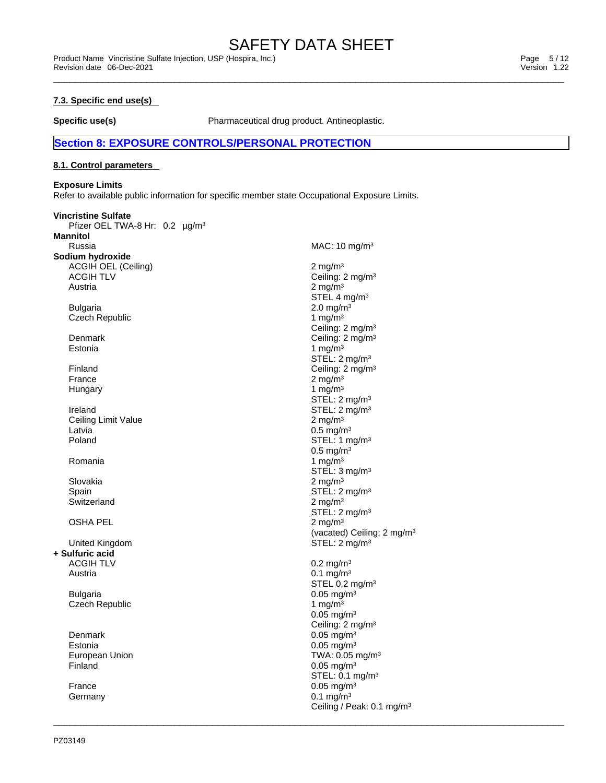Ceiling / Peak: 0.1 mg/m<sup>3</sup>

 $\_$  ,  $\_$  ,  $\_$  ,  $\_$  ,  $\_$  ,  $\_$  ,  $\_$  ,  $\_$  ,  $\_$  ,  $\_$  ,  $\_$  ,  $\_$  ,  $\_$  ,  $\_$  ,  $\_$  ,  $\_$  ,  $\_$  ,  $\_$  ,  $\_$  ,  $\_$  ,  $\_$  ,  $\_$  ,  $\_$  ,  $\_$  ,  $\_$  ,  $\_$  ,  $\_$  ,  $\_$  ,  $\_$  ,  $\_$  ,  $\_$  ,  $\_$  ,  $\_$  ,  $\_$  ,  $\_$  ,  $\_$  ,  $\_$  ,

### **7.3. Specific end use(s)**

**Specific use(s)** Pharmaceutical drug product. Antineoplastic.

### **Section 8: EXPOSURE CONTROLS/PERSONAL PROTECTION**

### **8.1. Control parameters**

### **Exposure Limits**

Refer to available public information for specific member state Occupational Exposure Limits.

| <b>Vincristine Sulfate</b><br>Pfizer OEL TWA-8 Hr: 0.2 µg/m <sup>3</sup><br><b>Mannitol</b> |                                        |
|---------------------------------------------------------------------------------------------|----------------------------------------|
| Russia                                                                                      | MAC: 10 mg/m <sup>3</sup>              |
| Sodium hydroxide                                                                            |                                        |
| <b>ACGIH OEL (Ceiling)</b>                                                                  | $2 \text{ mg/m}^3$                     |
|                                                                                             |                                        |
| <b>ACGIH TLV</b>                                                                            | Ceiling: 2 mg/m <sup>3</sup>           |
| Austria                                                                                     | 2 mg/m $3$                             |
|                                                                                             | STEL 4 mg/m <sup>3</sup>               |
| <b>Bulgaria</b>                                                                             | $2.0 \text{ mg/m}^3$                   |
| <b>Czech Republic</b>                                                                       | 1 mg/m $3$                             |
|                                                                                             | Ceiling: 2 mg/m <sup>3</sup>           |
| Denmark                                                                                     | Ceiling: 2 mg/m <sup>3</sup>           |
| Estonia                                                                                     | 1 mg/m $3$                             |
|                                                                                             | STEL: $2 \text{ mg/m}^3$               |
| Finland                                                                                     | Ceiling: 2 mg/m <sup>3</sup>           |
| France                                                                                      | 2 mg/m $3$                             |
|                                                                                             | 1 mg/m $3$                             |
| Hungary                                                                                     |                                        |
|                                                                                             | STEL: 2 mg/m <sup>3</sup>              |
| Ireland                                                                                     | STEL: $2 \text{ mg/m}^3$               |
| Ceiling Limit Value                                                                         | 2 mg/m $3$                             |
| Latvia                                                                                      | $0.5$ mg/m $3$                         |
| Poland                                                                                      | STEL: 1 mg/m <sup>3</sup>              |
|                                                                                             | $0.5$ mg/m <sup>3</sup>                |
| Romania                                                                                     | 1 mg/m $3$                             |
|                                                                                             | STEL: $3 \text{ mg/m}^3$               |
| Slovakia                                                                                    | $2 \text{ mg/m}^3$                     |
| Spain                                                                                       | STEL: 2 mg/m <sup>3</sup>              |
| Switzerland                                                                                 | 2 mg/m $3$                             |
|                                                                                             | STEL: $2 \text{ mg/m}^3$               |
| <b>OSHA PEL</b>                                                                             | 2 mg/m $3$                             |
|                                                                                             |                                        |
|                                                                                             | (vacated) Ceiling: 2 mg/m <sup>3</sup> |
| United Kingdom                                                                              | STEL: 2 mg/m <sup>3</sup>              |
| + Sulfuric acid                                                                             |                                        |
| <b>ACGIH TLV</b>                                                                            | $0.2 \text{ mg/m}^3$                   |
| Austria                                                                                     | $0.1 \text{ mg/m}^3$                   |
|                                                                                             | STEL 0.2 mg/m <sup>3</sup>             |
| <b>Bulgaria</b>                                                                             | $0.05$ mg/m <sup>3</sup>               |
| <b>Czech Republic</b>                                                                       | 1 mg/m $3$                             |
|                                                                                             | $0.05$ mg/m <sup>3</sup>               |
|                                                                                             | Ceiling: 2 mg/m <sup>3</sup>           |
| Denmark                                                                                     | $0.05$ mg/m <sup>3</sup>               |
| Estonia                                                                                     | $0.05$ mg/m <sup>3</sup>               |
| European Union                                                                              | TWA: 0.05 mg/m <sup>3</sup>            |
| Finland                                                                                     | $0.05$ mg/m <sup>3</sup>               |
|                                                                                             |                                        |
|                                                                                             | STEL: 0.1 mg/m <sup>3</sup>            |
| France                                                                                      | $0.05$ mg/m <sup>3</sup>               |
| Germany                                                                                     | $0.1 \text{ mg/m}^3$                   |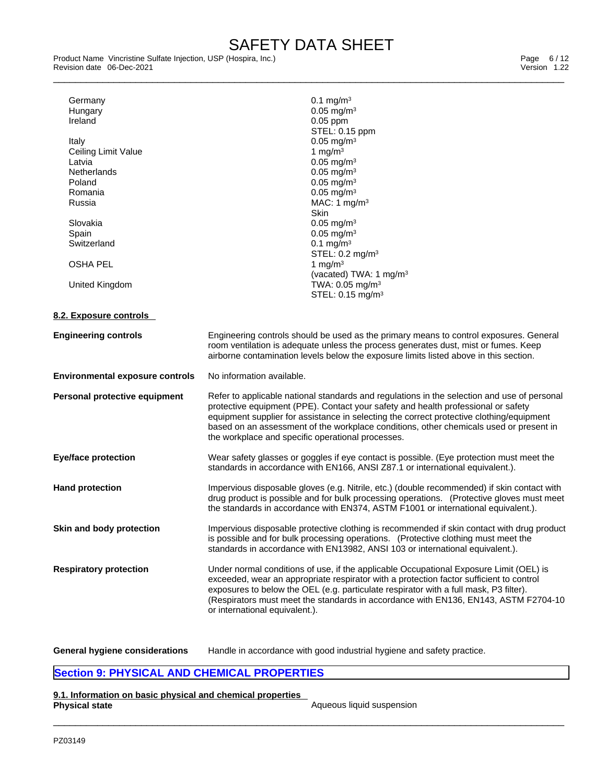Product Name Vincristine Sulfate Injection, USP (Hospira, Inc.)<br>Revision date 06-Dec-2021 Version 1.22 Revision date 06-Dec-2021

| Ireland<br>Italy<br>Ceiling Limit Value<br>Latvia<br>Netherlands<br>Poland<br>Romania<br>Russia<br>Slovakia<br>Spain<br>Switzerland<br><b>OSHA PEL</b><br>United Kingdom | $0.1 \text{ mg/m}^3$<br>$0.05$ mg/m <sup>3</sup><br>$0.05$ ppm<br>STEL: 0.15 ppm<br>$0.05$ mg/m <sup>3</sup><br>1 mg/m $3$<br>$0.05$ mg/m <sup>3</sup><br>$0.05$ mg/m <sup>3</sup><br>$0.05$ mg/m $3$<br>$0.05$ mg/m <sup>3</sup><br>MAC: 1 $mg/m3$<br><b>Skin</b><br>$0.05$ mg/m <sup>3</sup><br>$0.05$ mg/m <sup>3</sup><br>0.1 mg/m <sup>3</sup><br>STEL: 0.2 mg/m <sup>3</sup><br>1 mg/m $3$<br>(vacated) TWA: 1 mg/m <sup>3</sup><br>TWA: 0.05 mg/m <sup>3</sup><br>STEL: 0.15 mg/m <sup>3</sup> |
|--------------------------------------------------------------------------------------------------------------------------------------------------------------------------|-------------------------------------------------------------------------------------------------------------------------------------------------------------------------------------------------------------------------------------------------------------------------------------------------------------------------------------------------------------------------------------------------------------------------------------------------------------------------------------------------------|
| 8.2. Exposure controls                                                                                                                                                   |                                                                                                                                                                                                                                                                                                                                                                                                                                                                                                       |
| <b>Engineering controls</b>                                                                                                                                              | Engineering controls should be used as the primary means to control exposures. General<br>room ventilation is adequate unless the process generates dust, mist or fumes. Keep<br>airborne contamination levels below the exposure limits listed above in this section.                                                                                                                                                                                                                                |
| <b>Environmental exposure controls</b>                                                                                                                                   | No information available.                                                                                                                                                                                                                                                                                                                                                                                                                                                                             |
|                                                                                                                                                                          |                                                                                                                                                                                                                                                                                                                                                                                                                                                                                                       |
| Personal protective equipment                                                                                                                                            | Refer to applicable national standards and regulations in the selection and use of personal<br>protective equipment (PPE). Contact your safety and health professional or safety<br>equipment supplier for assistance in selecting the correct protective clothing/equipment<br>based on an assessment of the workplace conditions, other chemicals used or present in<br>the workplace and specific operational processes.                                                                           |
| <b>Eye/face protection</b>                                                                                                                                               | Wear safety glasses or goggles if eye contact is possible. (Eye protection must meet the<br>standards in accordance with EN166, ANSI Z87.1 or international equivalent.).                                                                                                                                                                                                                                                                                                                             |
| <b>Hand protection</b>                                                                                                                                                   | Impervious disposable gloves (e.g. Nitrile, etc.) (double recommended) if skin contact with<br>drug product is possible and for bulk processing operations. (Protective gloves must meet<br>the standards in accordance with EN374, ASTM F1001 or international equivalent.).                                                                                                                                                                                                                         |
| Skin and body protection                                                                                                                                                 | Impervious disposable protective clothing is recommended if skin contact with drug product<br>is possible and for bulk processing operations. (Protective clothing must meet the<br>standards in accordance with EN13982, ANSI 103 or international equivalent.).                                                                                                                                                                                                                                     |

**General hygiene considerations** Handle in accordance with good industrial hygiene and safety practice.

### **Section 9: PHYSICAL AND CHEMICAL PROPERTIES**

**9.1. Information on basic physical and chemical properties Physical state** And **Aqueous liquid suspension** Aqueous liquid suspension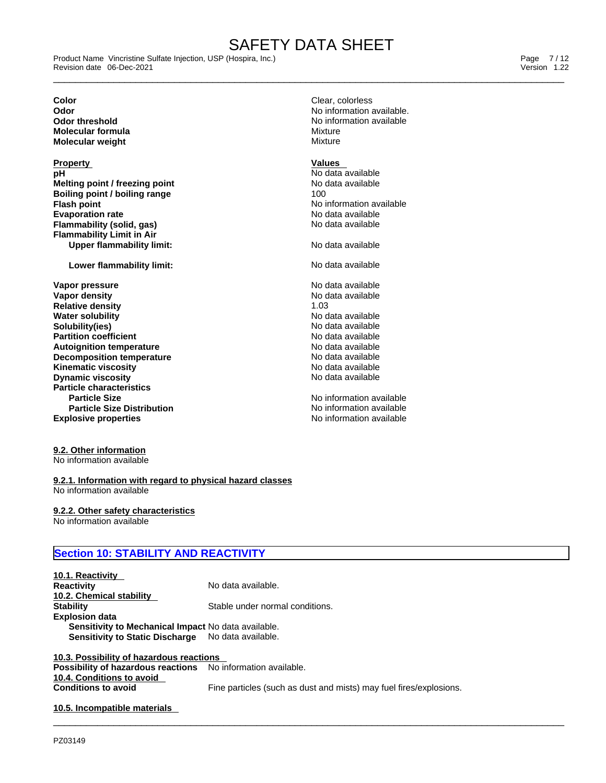\_\_\_\_\_\_\_\_\_\_\_\_\_\_\_\_\_\_\_\_\_\_\_\_\_\_\_\_\_\_\_\_\_\_\_\_\_\_\_\_\_\_\_\_\_\_\_\_\_\_\_\_\_\_\_\_\_\_\_\_\_\_\_\_\_\_\_\_\_\_\_\_\_\_\_\_\_\_\_\_\_\_\_\_\_\_\_\_\_\_\_\_\_ Product Name Vincristine Sulfate Injection, USP (Hospira, Inc.) Page 7 / 12 Revision date 06-Dec-2021 Version 1.22

**Molecular formula** Mixture **Molecular** weight

**Property Values**<br> **pH** No data a **Melting point / freezing point**<br> **Rojling point / boiling range**  $\qquad \qquad$  100 **Boiling point / boiling range Flash point CONSIDERED ATTACK INCORPORATION ATTACK INCORPORATION AVAILABLE Evaporation rate rate**  $\overline{N}$  **No data available Flammability** (solid, gas) and the state of the No data available **Flammability Limit in Air Upper flammability limit:** No data available

### **Lower flammability limit:** No data available

**Explosive properties Explosive properties No information available Vapor pressure** No data available No data available **Vapor density No data available No data available Relative density**<br> **Water solubility**<br> **Water solubility**<br> **Water solubility Water solubility Solubility(ies)** No data available **Partition coefficient** No data available **Autoignition temperature 1988 1999 1999 1999 1999 1999 1999 1999 1999 1999 1999 1999 1999 1999 1999 1999 1999 1999 1999 1999 1999 1999 1999 1999 1999 1999 1999 1999 Decomposition temperature No data available**<br> **Kinematic viscosity No data available Kinematic viscosity**<br> **Discussion Discussion Contract Contract Contract Contract Contract Contract Contract Contract Contract Contract Contract Contract Contract Contract Contract Contract Contract Contract Contract Contr Dynamic viscosity Particle characteristics Particle Size Distribution**

### **9.2. Other information**

No information available

### **9.2.1. Information with regard to physical hazard classes** No information available

### **9.2.2. Other safety characteristics**

No information available

### **Section 10: STABILITY AND REACTIVITY**

| 10.1. Reactivity                                    |                                 |
|-----------------------------------------------------|---------------------------------|
| <b>Reactivity</b>                                   | No data available.              |
| 10.2. Chemical stability                            |                                 |
| <b>Stability</b>                                    | Stable under normal conditions. |
| <b>Explosion data</b>                               |                                 |
| Sensitivity to Mechanical Impact No data available. |                                 |
| <b>Sensitivity to Static Discharge</b>              | No data available.              |
|                                                     |                                 |

### **10.3. Possibility of hazardous reactions Possibility of hazardous reactions** No information available. **10.4. Conditions to avoid Conditions to avoid** Fine particles (such as dust and mists) may fuel fires/explosions.

 $\_$  ,  $\_$  ,  $\_$  ,  $\_$  ,  $\_$  ,  $\_$  ,  $\_$  ,  $\_$  ,  $\_$  ,  $\_$  ,  $\_$  ,  $\_$  ,  $\_$  ,  $\_$  ,  $\_$  ,  $\_$  ,  $\_$  ,  $\_$  ,  $\_$  ,  $\_$  ,  $\_$  ,  $\_$  ,  $\_$  ,  $\_$  ,  $\_$  ,  $\_$  ,  $\_$  ,  $\_$  ,  $\_$  ,  $\_$  ,  $\_$  ,  $\_$  ,  $\_$  ,  $\_$  ,  $\_$  ,  $\_$  ,  $\_$  ,

### **10.5. Incompatible materials**

No data available<br>No data available

**No information available** No information available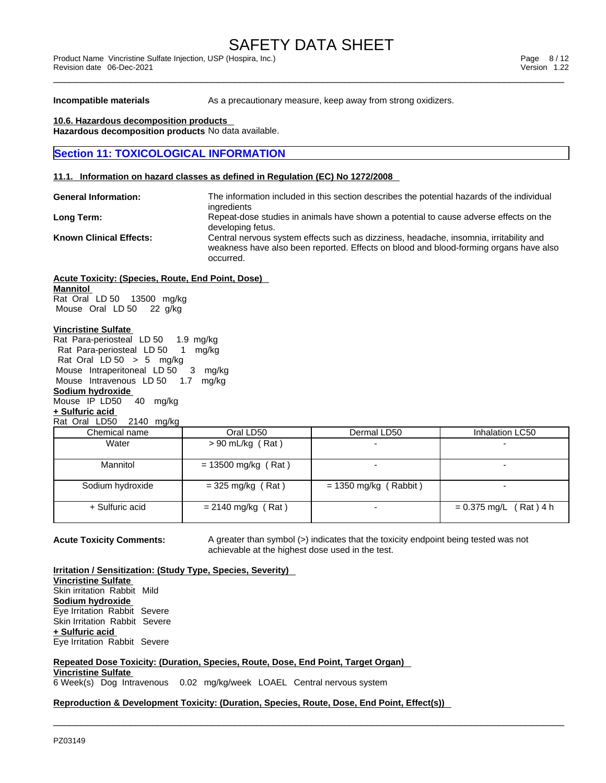**Incompatible materials** As a precautionary measure, keep away from strong oxidizers.

**10.6. Hazardous decomposition products Hazardous decomposition products** No data available.

### **Section 11: TOXICOLOGICAL INFORMATION**

### **11.1. Information on hazard classes as defined in Regulation (EC) No 1272/2008**

| <b>General Information:</b>    | The information included in this section describes the potential hazards of the individual<br>ingredients                                                                                    |
|--------------------------------|----------------------------------------------------------------------------------------------------------------------------------------------------------------------------------------------|
| Long Term:                     | Repeat-dose studies in animals have shown a potential to cause adverse effects on the<br>developing fetus.                                                                                   |
| <b>Known Clinical Effects:</b> | Central nervous system effects such as dizziness, headache, insomnia, irritability and<br>weakness have also been reported. Effects on blood and blood-forming organs have also<br>occurred. |

**Acute Toxicity: (Species, Route, End Point, Dose) Mannitol** Rat Oral LD 50 13500 mg/kg Mouse Oral LD 50 22 g/kg

### **Vincristine Sulfate**

Rat Para-periosteal LD 50 1.9 mg/kg Rat Para-periosteal LD 50 1 mg/kg Rat Oral  $LD 50$  > 5 mg/kg Mouse Intraperitoneal LD 50 3 mg/kg Mouse Intravenous LD 50 1.7 mg/kg **Sodium hydroxide**

### Mouse IP LD50 40 mg/kg **+ Sulfuric acid**

### Rat Oral LD50 2140 mg/kg

| ິ                |                       |                          |                          |
|------------------|-----------------------|--------------------------|--------------------------|
| Chemical name    | Oral LD50             | Dermal LD50              | Inhalation LC50          |
| Water            | $> 90$ mL/kg (Rat)    | $\overline{\phantom{0}}$ |                          |
| Mannitol         | $= 13500$ mg/kg (Rat) |                          |                          |
| Sodium hydroxide | $=$ 325 mg/kg (Rat)   | $= 1350$ mg/kg (Rabbit)  |                          |
| + Sulfuric acid  | $= 2140$ mg/kg (Rat)  |                          | $= 0.375$ mg/L (Rat) 4 h |

 $\_$  ,  $\_$  ,  $\_$  ,  $\_$  ,  $\_$  ,  $\_$  ,  $\_$  ,  $\_$  ,  $\_$  ,  $\_$  ,  $\_$  ,  $\_$  ,  $\_$  ,  $\_$  ,  $\_$  ,  $\_$  ,  $\_$  ,  $\_$  ,  $\_$  ,  $\_$  ,  $\_$  ,  $\_$  ,  $\_$  ,  $\_$  ,  $\_$  ,  $\_$  ,  $\_$  ,  $\_$  ,  $\_$  ,  $\_$  ,  $\_$  ,  $\_$  ,  $\_$  ,  $\_$  ,  $\_$  ,  $\_$  ,  $\_$  ,

**Acute Toxicity Comments:** A greater than symbol (>) indicates that the toxicity endpoint being tested was not achievable at the highest dose used in the test.

**Irritation / Sensitization: (Study Type, Species, Severity) Vincristine Sulfate** Skin irritation Rabbit Mild **Sodium hydroxide** Eye Irritation Rabbit Severe Skin Irritation Rabbit Severe **+ Sulfuric acid** Eye Irritation Rabbit Severe

### **Repeated Dose Toxicity: (Duration, Species, Route, Dose, End Point, Target Organ)**

### **Vincristine Sulfate**

6 Week(s) Dog Intravenous 0.02 mg/kg/week LOAEL Central nervous system

### **Reproduction & Development Toxicity: (Duration, Species, Route, Dose, End Point, Effect(s))**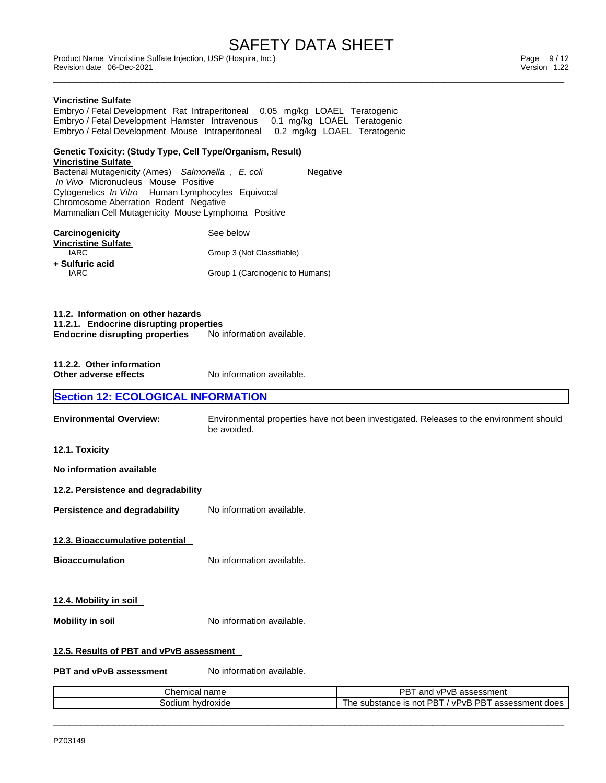\_\_\_\_\_\_\_\_\_\_\_\_\_\_\_\_\_\_\_\_\_\_\_\_\_\_\_\_\_\_\_\_\_\_\_\_\_\_\_\_\_\_\_\_\_\_\_\_\_\_\_\_\_\_\_\_\_\_\_\_\_\_\_\_\_\_\_\_\_\_\_\_\_\_\_\_\_\_\_\_\_\_\_\_\_\_\_\_\_\_\_\_\_ Product Name Vincristine Sulfate Injection, USP (Hospira, Inc.) Page 9 / 12 Revision date 06-Dec-2021 Version 1.22

### **Vincristine Sulfate**

Embryo / Fetal Development Rat Intraperitoneal 0.05 mg/kg LOAEL Teratogenic Embryo / Fetal Development Hamster Intravenous 0.1 mg/kg LOAEL Teratogenic Embryo / Fetal Development Mouse Intraperitoneal 0.2 mg/kg LOAEL Teratogenic

### **Genetic Toxicity: (Study Type, Cell Type/Organism, Result)**

**Vincristine Sulfate** Bacterial Mutagenicity (Ames) *Salmonella* , *E. coli* Negative  *In Vivo* Micronucleus Mouse Positive Cytogenetics *In Vitro* Human Lymphocytes Equivocal Chromosome Aberration Rodent Negative Mammalian Cell Mutagenicity Mouse Lymphoma Positive

| <b>Carcinogenicity</b><br><b>Vincristine Sulfate</b> | See below                        |
|------------------------------------------------------|----------------------------------|
| IARC.                                                | Group 3 (Not Classifiable)       |
| + Sulfuric acid<br>IARC                              | Group 1 (Carcinogenic to Humans) |

**11.2. Information on other hazards 11.2.1. Endocrine disrupting properties Endocrine disrupting properties** No information available.

| 11.2.2. Other information |  |
|---------------------------|--|
| Other adverse effects     |  |

**No information available.** 

### **Section 12: ECOLOGICAL INFORMATION**

**Environmental Overview:** Environmental properties have not been investigated. Releases to the environment should be avoided.

**12.1. Toxicity** 

| No information available |
|--------------------------|
|--------------------------|

**12.2. Persistence and degradability** 

**Persistence and degradability** No information available.

**12.3. Bioaccumulative potential**

**Bioaccumulation** No information available.

**12.4. Mobility in soil** 

**Mobility in soil** No information available.

### **12.5. Results of PBT and vPvB assessment**

**PBT** and **vPvB** assessment No information available.

| name<br>Chemical   | דסמ<br>and<br>accaccman<br>vr<br>200000111011L<br>. .                                                               |
|--------------------|---------------------------------------------------------------------------------------------------------------------|
| hvdroxide<br>odium | <b>DDT</b><br>$\cdot$ DRT.<br>VPVH<br>substance<br>. 2000000<br>: does<br>not<br>.<br>sment<br>د، ت<br>- 1<br>1.3.7 |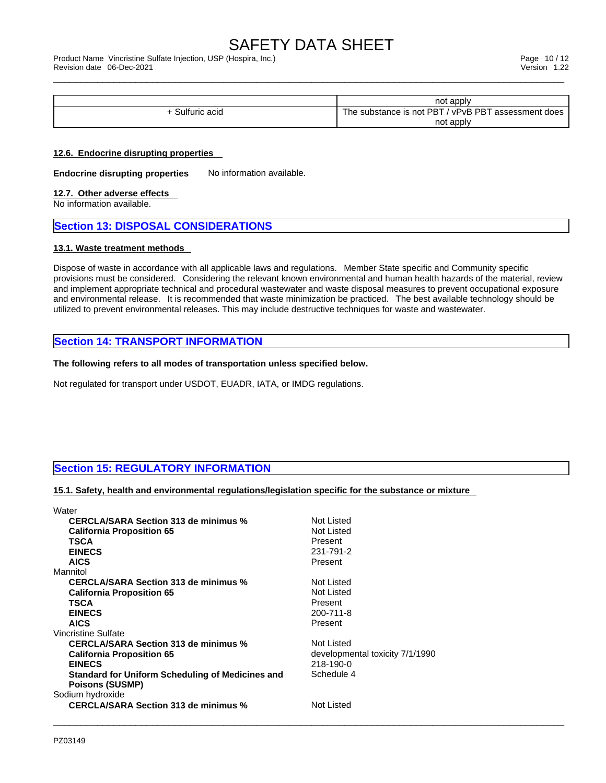\_\_\_\_\_\_\_\_\_\_\_\_\_\_\_\_\_\_\_\_\_\_\_\_\_\_\_\_\_\_\_\_\_\_\_\_\_\_\_\_\_\_\_\_\_\_\_\_\_\_\_\_\_\_\_\_\_\_\_\_\_\_\_\_\_\_\_\_\_\_\_\_\_\_\_\_\_\_\_\_\_\_\_\_\_\_\_\_\_\_\_\_\_ Product Name Vincristine Sulfate Injection, USP (Hospira, Inc.) Page 10 / 12 Revision date 06-Dec-2021 Version 1.22

|                     | not apply                                                                                      |
|---------------------|------------------------------------------------------------------------------------------------|
| Sulfi<br>200<br>auu | <b>PBT</b><br>.s not PBT<br>vPv <sub>P</sub><br>assessment does<br>substance<br>he<br>IS.<br>. |
|                     | not apply                                                                                      |

### **12.6. Endocrine disrupting properties**

**Endocrine disrupting properties** No information available.

### **12.7. Other adverse effects**

No information available.

### **Section 13: DISPOSAL CONSIDERATIONS**

### **13.1. Waste treatment methods**

Dispose of waste in accordance with all applicable laws and regulations. Member State specific and Community specific provisions must be considered. Considering the relevant known environmental and human health hazards of the material, review and implement appropriate technical and procedural wastewater and waste disposal measures to prevent occupational exposure and environmental release. It is recommended that waste minimization be practiced. The best available technology should be utilized to prevent environmental releases. This may include destructive techniques for waste and wastewater.

### **Section 14: TRANSPORT INFORMATION**

### **The following refers to all modes of transportation unless specified below.**

Not regulated for transport under USDOT, EUADR, IATA, or IMDG regulations.

### **Section 15: REGULATORY INFORMATION**

### **15.1. Safety, health and environmental regulations/legislation specific for the substance or mixture**

| Water                                            |                                 |
|--------------------------------------------------|---------------------------------|
| <b>CERCLA/SARA Section 313 de minimus %</b>      | Not Listed                      |
| <b>California Proposition 65</b>                 | Not Listed                      |
| TSCA<br>Present                                  |                                 |
| <b>EINECS</b>                                    | 231-791-2                       |
| <b>AICS</b><br>Present                           |                                 |
| Mannitol                                         |                                 |
| <b>CERCLA/SARA Section 313 de minimus %</b>      | Not Listed                      |
| <b>California Proposition 65</b>                 | Not Listed                      |
| <b>TSCA</b><br>Present                           |                                 |
| <b>EINECS</b>                                    | 200-711-8                       |
| <b>AICS</b><br>Present                           |                                 |
| Vincristine Sulfate                              |                                 |
| <b>CERCLA/SARA Section 313 de minimus %</b>      | Not Listed                      |
| <b>California Proposition 65</b>                 | developmental toxicity 7/1/1990 |
| <b>EINECS</b>                                    | 218-190-0                       |
| Standard for Uniform Scheduling of Medicines and | Schedule 4                      |
| <b>Poisons (SUSMP)</b>                           |                                 |
| Sodium hydroxide                                 |                                 |
| <b>CERCLA/SARA Section 313 de minimus %</b>      | Not Listed                      |
|                                                  |                                 |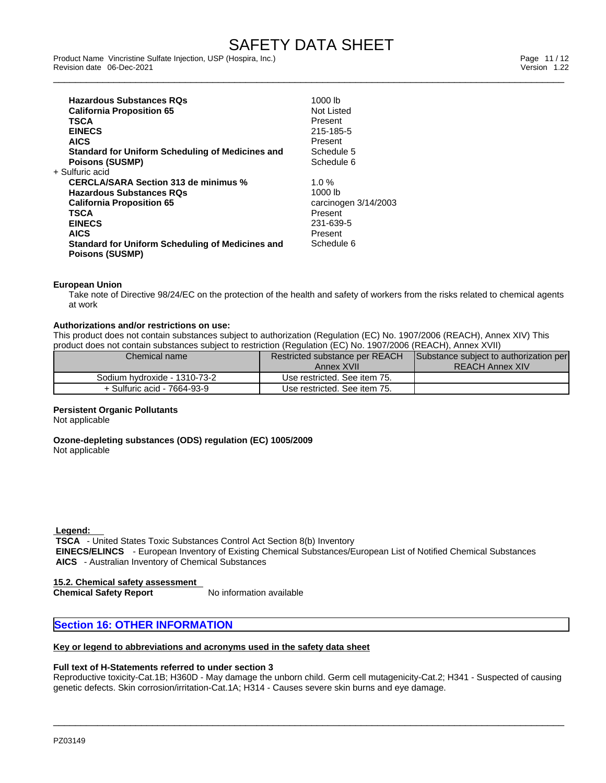\_\_\_\_\_\_\_\_\_\_\_\_\_\_\_\_\_\_\_\_\_\_\_\_\_\_\_\_\_\_\_\_\_\_\_\_\_\_\_\_\_\_\_\_\_\_\_\_\_\_\_\_\_\_\_\_\_\_\_\_\_\_\_\_\_\_\_\_\_\_\_\_\_\_\_\_\_\_\_\_\_\_\_\_\_\_\_\_\_\_\_\_\_ Product Name Vincristine Sulfate Injection, USP (Hospira, Inc.) Page 11 / 12 Revision date 06-Dec-2021 Version 1.22

| <b>Hazardous Substances ROs</b>                         | 1000 lb              |
|---------------------------------------------------------|----------------------|
| <b>California Proposition 65</b>                        | Not Listed           |
| TSCA                                                    | Present              |
| <b>EINECS</b>                                           | 215-185-5            |
| <b>AICS</b>                                             | Present              |
| <b>Standard for Uniform Scheduling of Medicines and</b> | Schedule 5           |
| <b>Poisons (SUSMP)</b>                                  | Schedule 6           |
| + Sulfuric acid                                         |                      |
| <b>CERCLA/SARA Section 313 de minimus %</b>             | $1.0 \%$             |
| <b>Hazardous Substances RQs</b>                         | 1000 lb              |
| <b>California Proposition 65</b>                        | carcinogen 3/14/2003 |
| TSCA                                                    | Present              |
| <b>EINECS</b>                                           | 231-639-5            |
| <b>AICS</b>                                             | Present              |
| Standard for Uniform Scheduling of Medicines and        | Schedule 6           |
| <b>Poisons (SUSMP)</b>                                  |                      |

### **European Union**

Take note of Directive 98/24/EC on the protection of the health and safety of workers from the risks related to chemical agents at work

### **Authorizations and/or restrictions on use:**

This product does not contain substances subject to authorization (Regulation (EC) No. 1907/2006 (REACH), Annex XIV) This product does not contain substances subject to restriction (Regulation (EC) No. 1907/2006 (REACH), Annex XVII)

| Chemical name                | Restricted substance per REACH | Substance subject to authorization per |
|------------------------------|--------------------------------|----------------------------------------|
|                              | Annex XVII                     | <b>REACH Annex XIV</b>                 |
| Sodium hydroxide - 1310-73-2 | Use restricted. See item 75.   |                                        |
| + Sulfuric acid - 7664-93-9  | Use restricted. See item 75.   |                                        |

### **Persistent Organic Pollutants**

Not applicable

**Ozone-depleting substances (ODS) regulation (EC) 1005/2009** Not applicable

 **Legend:** 

 **TSCA** - United States Toxic Substances Control Act Section 8(b) Inventory  **EINECS/ELINCS** - European Inventory of Existing Chemical Substances/European List of Notified Chemical Substances  **AICS** - Australian Inventory of Chemical Substances

**15.2. Chemical safety assessment Chemical Safety Report** 

### **Section 16: OTHER INFORMATION**

### **Key or legend to abbreviations and acronyms used in the safety data sheet**

### **Full text of H-Statements referred to undersection 3**

Reproductive toxicity-Cat.1B; H360D - May damage the unborn child. Germ cell mutagenicity-Cat.2; H341 - Suspected of causing genetic defects. Skin corrosion/irritation-Cat.1A; H314 - Causes severe skin burns and eye damage.